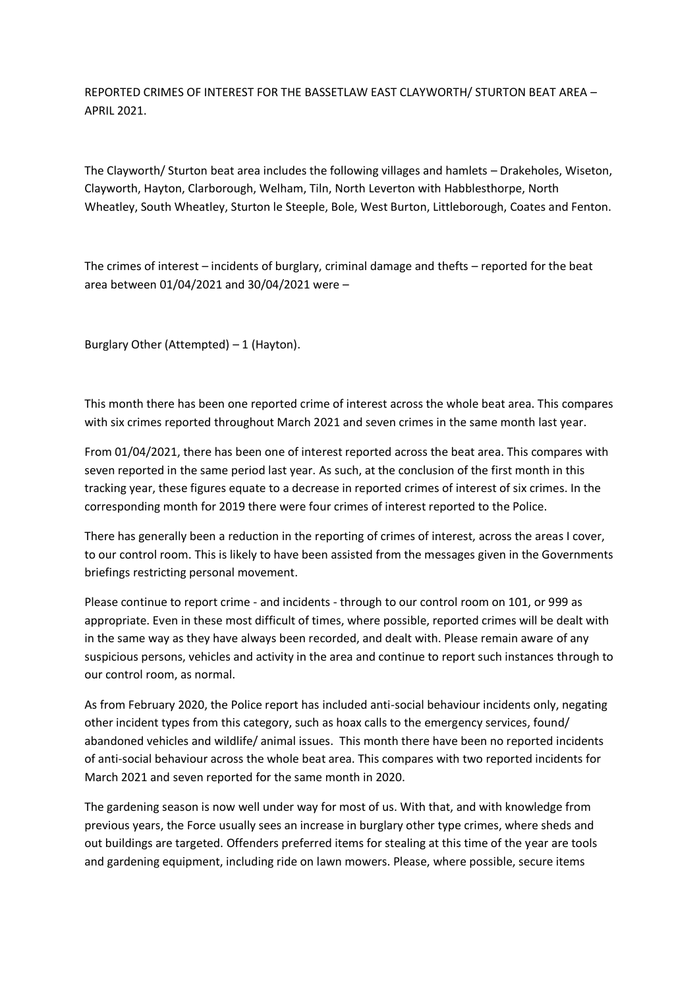REPORTED CRIMES OF INTEREST FOR THE BASSETLAW EAST CLAYWORTH/ STURTON BEAT AREA – APRIL 2021.

The Clayworth/ Sturton beat area includes the following villages and hamlets – Drakeholes, Wiseton, Clayworth, Hayton, Clarborough, Welham, Tiln, North Leverton with Habblesthorpe, North Wheatley, South Wheatley, Sturton le Steeple, Bole, West Burton, Littleborough, Coates and Fenton.

The crimes of interest – incidents of burglary, criminal damage and thefts – reported for the beat area between 01/04/2021 and 30/04/2021 were –

Burglary Other (Attempted)  $-1$  (Hayton).

This month there has been one reported crime of interest across the whole beat area. This compares with six crimes reported throughout March 2021 and seven crimes in the same month last year.

From 01/04/2021, there has been one of interest reported across the beat area. This compares with seven reported in the same period last year. As such, at the conclusion of the first month in this tracking year, these figures equate to a decrease in reported crimes of interest of six crimes. In the corresponding month for 2019 there were four crimes of interest reported to the Police.

There has generally been a reduction in the reporting of crimes of interest, across the areas I cover, to our control room. This is likely to have been assisted from the messages given in the Governments briefings restricting personal movement.

Please continue to report crime - and incidents - through to our control room on 101, or 999 as appropriate. Even in these most difficult of times, where possible, reported crimes will be dealt with in the same way as they have always been recorded, and dealt with. Please remain aware of any suspicious persons, vehicles and activity in the area and continue to report such instances through to our control room, as normal.

As from February 2020, the Police report has included anti-social behaviour incidents only, negating other incident types from this category, such as hoax calls to the emergency services, found/ abandoned vehicles and wildlife/ animal issues. This month there have been no reported incidents of anti-social behaviour across the whole beat area. This compares with two reported incidents for March 2021 and seven reported for the same month in 2020.

The gardening season is now well under way for most of us. With that, and with knowledge from previous years, the Force usually sees an increase in burglary other type crimes, where sheds and out buildings are targeted. Offenders preferred items for stealing at this time of the year are tools and gardening equipment, including ride on lawn mowers. Please, where possible, secure items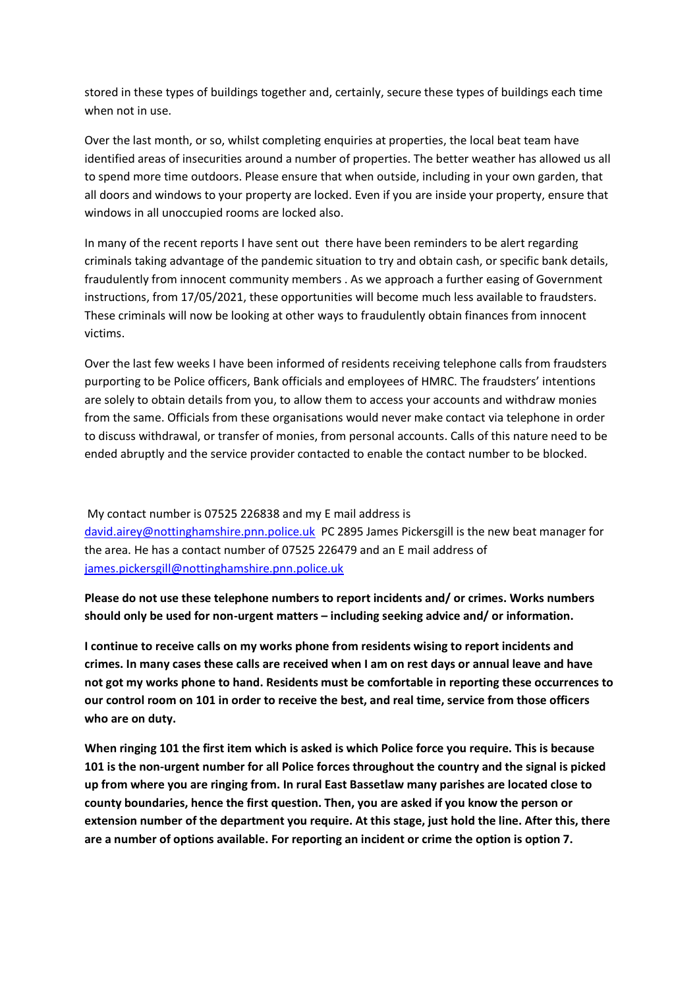stored in these types of buildings together and, certainly, secure these types of buildings each time when not in use.

Over the last month, or so, whilst completing enquiries at properties, the local beat team have identified areas of insecurities around a number of properties. The better weather has allowed us all to spend more time outdoors. Please ensure that when outside, including in your own garden, that all doors and windows to your property are locked. Even if you are inside your property, ensure that windows in all unoccupied rooms are locked also.

In many of the recent reports I have sent out there have been reminders to be alert regarding criminals taking advantage of the pandemic situation to try and obtain cash, or specific bank details, fraudulently from innocent community members . As we approach a further easing of Government instructions, from 17/05/2021, these opportunities will become much less available to fraudsters. These criminals will now be looking at other ways to fraudulently obtain finances from innocent victims.

Over the last few weeks I have been informed of residents receiving telephone calls from fraudsters purporting to be Police officers, Bank officials and employees of HMRC. The fraudsters' intentions are solely to obtain details from you, to allow them to access your accounts and withdraw monies from the same. Officials from these organisations would never make contact via telephone in order to discuss withdrawal, or transfer of monies, from personal accounts. Calls of this nature need to be ended abruptly and the service provider contacted to enable the contact number to be blocked.

My contact number is 07525 226838 and my E mail address is [david.airey@nottinghamshire.pnn.police.uk](about:blank) PC 2895 James Pickersgill is the new beat manager for the area. He has a contact number of 07525 226479 and an E mail address of [james.pickersgill@nottinghamshire.pnn.police.uk](about:blank)

**Please do not use these telephone numbers to report incidents and/ or crimes. Works numbers should only be used for non-urgent matters – including seeking advice and/ or information.**

**I continue to receive calls on my works phone from residents wising to report incidents and crimes. In many cases these calls are received when I am on rest days or annual leave and have not got my works phone to hand. Residents must be comfortable in reporting these occurrences to our control room on 101 in order to receive the best, and real time, service from those officers who are on duty.**

**When ringing 101 the first item which is asked is which Police force you require. This is because 101 is the non-urgent number for all Police forces throughout the country and the signal is picked up from where you are ringing from. In rural East Bassetlaw many parishes are located close to county boundaries, hence the first question. Then, you are asked if you know the person or extension number of the department you require. At this stage, just hold the line. After this, there are a number of options available. For reporting an incident or crime the option is option 7.**